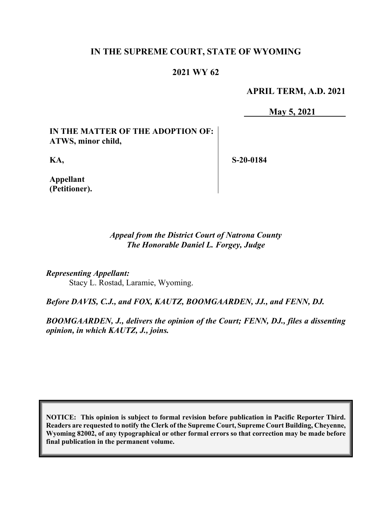# **IN THE SUPREME COURT, STATE OF WYOMING**

# **2021 WY 62**

**APRIL TERM, A.D. 2021**

**May 5, 2021**

**IN THE MATTER OF THE ADOPTION OF: ATWS, minor child,**

**KA,**

**S-20-0184**

**Appellant (Petitioner).**

> *Appeal from the District Court of Natrona County The Honorable Daniel L. Forgey, Judge*

*Representing Appellant:* Stacy L. Rostad, Laramie, Wyoming.

*Before DAVIS, C.J., and FOX, KAUTZ, BOOMGAARDEN, JJ., and FENN, DJ.*

*BOOMGAARDEN, J., delivers the opinion of the Court; FENN, DJ., files a dissenting opinion, in which KAUTZ, J., joins.*

**NOTICE: This opinion is subject to formal revision before publication in Pacific Reporter Third. Readers are requested to notify the Clerk of the Supreme Court, Supreme Court Building, Cheyenne, Wyoming 82002, of any typographical or other formal errors so that correction may be made before final publication in the permanent volume.**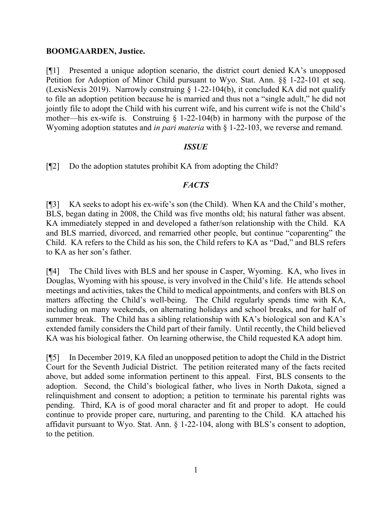## **BOOMGAARDEN, Justice.**

[¶1] Presented a unique adoption scenario, the district court denied KA's unopposed Petition for Adoption of Minor Child pursuant to Wyo. Stat. Ann. §§ 1-22-101 et seq. (LexisNexis 2019). Narrowly construing § 1-22-104(b), it concluded KA did not qualify to file an adoption petition because he is married and thus not a "single adult," he did not jointly file to adopt the Child with his current wife, and his current wife is not the Child's mother—his ex-wife is. Construing  $\S$  1-22-104(b) in harmony with the purpose of the Wyoming adoption statutes and *in pari materia* with § 1-22-103, we reverse and remand.

## *ISSUE*

[¶2] Do the adoption statutes prohibit KA from adopting the Child?

## *FACTS*

[¶3] KA seeks to adopt his ex-wife's son (the Child). When KA and the Child's mother, BLS, began dating in 2008, the Child was five months old; his natural father was absent. KA immediately stepped in and developed a father/son relationship with the Child. KA and BLS married, divorced, and remarried other people, but continue "coparenting" the Child. KA refers to the Child as his son, the Child refers to KA as "Dad," and BLS refers to KA as her son's father.

[¶4] The Child lives with BLS and her spouse in Casper, Wyoming. KA, who lives in Douglas, Wyoming with his spouse, is very involved in the Child's life. He attends school meetings and activities, takes the Child to medical appointments, and confers with BLS on matters affecting the Child's well-being. The Child regularly spends time with KA, including on many weekends, on alternating holidays and school breaks, and for half of summer break. The Child has a sibling relationship with KA's biological son and KA's extended family considers the Child part of their family. Until recently, the Child believed KA was his biological father. On learning otherwise, the Child requested KA adopt him.

[¶5] In December 2019, KA filed an unopposed petition to adopt the Child in the District Court for the Seventh Judicial District. The petition reiterated many of the facts recited above, but added some information pertinent to this appeal. First, BLS consents to the adoption. Second, the Child's biological father, who lives in North Dakota, signed a relinquishment and consent to adoption; a petition to terminate his parental rights was pending. Third, KA is of good moral character and fit and proper to adopt. He could continue to provide proper care, nurturing, and parenting to the Child. KA attached his affidavit pursuant to Wyo. Stat. Ann. § 1-22-104, along with BLS's consent to adoption, to the petition.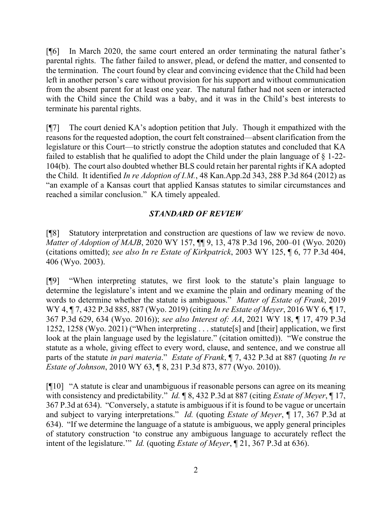[¶6] In March 2020, the same court entered an order terminating the natural father's parental rights. The father failed to answer, plead, or defend the matter, and consented to the termination. The court found by clear and convincing evidence that the Child had been left in another person's care without provision for his support and without communication from the absent parent for at least one year. The natural father had not seen or interacted with the Child since the Child was a baby, and it was in the Child's best interests to terminate his parental rights.

[¶7] The court denied KA's adoption petition that July. Though it empathized with the reasons for the requested adoption, the court felt constrained—absent clarification from the legislature or this Court—to strictly construe the adoption statutes and concluded that KA failed to establish that he qualified to adopt the Child under the plain language of § 1-22- 104(b). The court also doubted whether BLS could retain her parental rights if KA adopted the Child. It identified *In re Adoption of I.M.*, 48 Kan.App.2d 343, 288 P.3d 864 (2012) as "an example of a Kansas court that applied Kansas statutes to similar circumstances and reached a similar conclusion." KA timely appealed.

# *STANDARD OF REVIEW*

[¶8] Statutory interpretation and construction are questions of law we review de novo. *Matter of Adoption of MAJB*, 2020 WY 157, ¶¶ 9, 13, 478 P.3d 196, 200–01 (Wyo. 2020) (citations omitted); *see also In re Estate of Kirkpatrick*, 2003 WY 125, ¶ 6, 77 P.3d 404, 406 (Wyo. 2003).

[¶9] "When interpreting statutes, we first look to the statute's plain language to determine the legislature's intent and we examine the plain and ordinary meaning of the words to determine whether the statute is ambiguous." *Matter of Estate of Frank*, 2019 WY 4, ¶ 7, 432 P.3d 885, 887 (Wyo. 2019) (citing *In re Estate of Meyer*, 2016 WY 6, ¶ 17, 367 P.3d 629, 634 (Wyo. 2016)); *see also Interest of: AA*, 2021 WY 18, ¶ 17, 479 P.3d 1252, 1258 (Wyo. 2021) ("When interpreting . . . statute[s] and [their] application, we first look at the plain language used by the legislature." (citation omitted)). "We construe the statute as a whole, giving effect to every word, clause, and sentence, and we construe all parts of the statute *in pari materia*." *Estate of Frank*, ¶ 7, 432 P.3d at 887 (quoting *In re Estate of Johnson*, 2010 WY 63, ¶ 8, 231 P.3d 873, 877 (Wyo. 2010)).

[¶10] "A statute is clear and unambiguous if reasonable persons can agree on its meaning with consistency and predictability." *Id.* ¶ 8, 432 P.3d at 887 (citing *Estate of Meyer*, ¶ 17, 367 P.3d at 634). "Conversely, a statute is ambiguous if it is found to be vague or uncertain and subject to varying interpretations." *Id.* (quoting *Estate of Meyer*, ¶ 17, 367 P.3d at 634). "If we determine the language of a statute is ambiguous, we apply general principles of statutory construction 'to construe any ambiguous language to accurately reflect the intent of the legislature.'" *Id.* (quoting *Estate of Meyer*, ¶ 21, 367 P.3d at 636).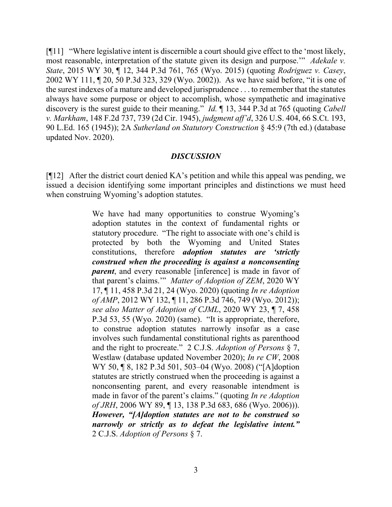[¶11] "Where legislative intent is discernible a court should give effect to the 'most likely, most reasonable, interpretation of the statute given its design and purpose.'" *Adekale v. State*, 2015 WY 30, ¶ 12, 344 P.3d 761, 765 (Wyo. 2015) (quoting *Rodriguez v. Casey*, 2002 WY 111, ¶ 20, 50 P.3d 323, 329 (Wyo. 2002)). As we have said before, "it is one of the surest indexes of a mature and developed jurisprudence . . . to remember that the statutes always have some purpose or object to accomplish, whose sympathetic and imaginative discovery is the surest guide to their meaning." *Id.* ¶ 13, 344 P.3d at 765 (quoting *Cabell v. Markham*, 148 F.2d 737, 739 (2d Cir. 1945), *judgment aff'd*, 326 U.S. 404, 66 S.Ct. 193, 90 L.Ed. 165 (1945)); 2A *Sutherland on Statutory Construction* § 45:9 (7th ed.) (database updated Nov. 2020).

## *DISCUSSION*

[¶12] After the district court denied KA's petition and while this appeal was pending, we issued a decision identifying some important principles and distinctions we must heed when construing Wyoming's adoption statutes.

> We have had many opportunities to construe Wyoming's adoption statutes in the context of fundamental rights or statutory procedure. "The right to associate with one's child is protected by both the Wyoming and United States constitutions, therefore *adoption statutes are 'strictly construed when the proceeding is against a nonconsenting parent*, and every reasonable [inference] is made in favor of that parent's claims.'" *Matter of Adoption of ZEM*, 2020 WY 17, ¶ 11, 458 P.3d 21, 24 (Wyo. 2020) (quoting *In re Adoption of AMP*, 2012 WY 132, ¶ 11, 286 P.3d 746, 749 (Wyo. 2012)); *see also Matter of Adoption of CJML*, 2020 WY 23, ¶ 7, 458 P.3d 53, 55 (Wyo. 2020) (same). "It is appropriate, therefore, to construe adoption statutes narrowly insofar as a case involves such fundamental constitutional rights as parenthood and the right to procreate." 2 C.J.S. *Adoption of Persons* § 7, Westlaw (database updated November 2020); *In re CW*, 2008 WY 50, ¶ 8, 182 P.3d 501, 503–04 (Wyo. 2008) ("[A]doption statutes are strictly construed when the proceeding is against a nonconsenting parent, and every reasonable intendment is made in favor of the parent's claims." (quoting *In re Adoption of JRH*, 2006 WY 89, ¶ 13, 138 P.3d 683, 686 (Wyo. 2006))). *However, "[A]doption statutes are not to be construed so narrowly or strictly as to defeat the legislative intent."* 2 C.J.S. *Adoption of Persons* § 7.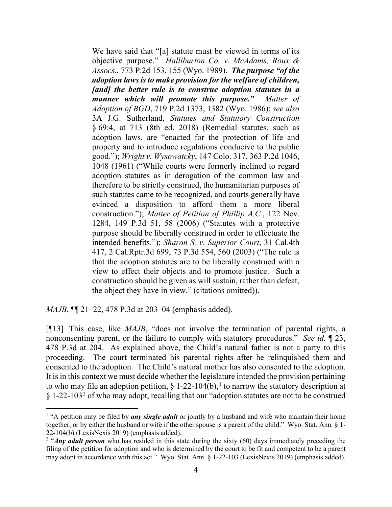We have said that "[a] statute must be viewed in terms of its objective purpose." *Halliburton Co. v. McAdams, Roux & Assocs.*, 773 P.2d 153, 155 (Wyo. 1989). *The purpose "of the adoption laws is to make provision for the welfare of children, [and] the better rule is to construe adoption statutes in a manner which will promote this purpose." Matter of Adoption of BGD*, 719 P.2d 1373, 1382 (Wyo. 1986); *see also* 3A J.G. Sutherland, *Statutes and Statutory Construction* § 69:4, at 713 (8th ed. 2018) (Remedial statutes, such as adoption laws, are "enacted for the protection of life and property and to introduce regulations conducive to the public good."); *Wright v. Wysowatcky*, 147 Colo. 317, 363 P.2d 1046, 1048 (1961) ("While courts were formerly inclined to regard adoption statutes as in derogation of the common law and therefore to be strictly construed, the humanitarian purposes of such statutes came to be recognized, and courts generally have evinced a disposition to afford them a more liberal construction."); *Matter of Petition of Phillip A.C.*, 122 Nev. 1284, 149 P.3d 51, 58 (2006) ("Statutes with a protective purpose should be liberally construed in order to effectuate the intended benefits."); *Sharon S. v. Superior Court*, 31 Cal.4th 417, 2 Cal.Rptr.3d 699, 73 P.3d 554, 560 (2003) ("The rule is that the adoption statutes are to be liberally construed with a view to effect their objects and to promote justice. Such a construction should be given as will sustain, rather than defeat, the object they have in view." (citations omitted)).

*MAJB*, **[14** 21–22, 478 P.3d at 203–04 (emphasis added).

[¶13] This case, like *MAJB*, "does not involve the termination of parental rights, a nonconsenting parent, or the failure to comply with statutory procedures." *See id.* ¶ 23, 478 P.3d at 204. As explained above, the Child's natural father is not a party to this proceeding. The court terminated his parental rights after he relinquished them and consented to the adoption. The Child's natural mother has also consented to the adoption. It is in this context we must decide whether the legislature intended the provision pertaining to who may file an adoption petition,  $\S 1-22-104(b)$  $\S 1-22-104(b)$  $\S 1-22-104(b)$ , to narrow the statutory description at § 1-[2](#page-4-1)2-103<sup>2</sup> of who may adopt, recalling that our "adoption statutes are not to be construed

<span id="page-4-0"></span><sup>&</sup>lt;sup>1</sup> "A petition may be filed by **any single adult** or jointly by a husband and wife who maintain their home together, or by either the husband or wife if the other spouse is a parent of the child." Wyo. Stat. Ann. § 1- 22-104(b) (LexisNexis 2019) (emphasis added).

<span id="page-4-1"></span><sup>&</sup>lt;sup>2</sup> "*Any adult person* who has resided in this state during the sixty (60) days immediately preceding the filing of the petition for adoption and who is determined by the court to be fit and competent to be a parent may adopt in accordance with this act." Wyo. Stat. Ann. § 1-22-103 (LexisNexis 2019) (emphasis added).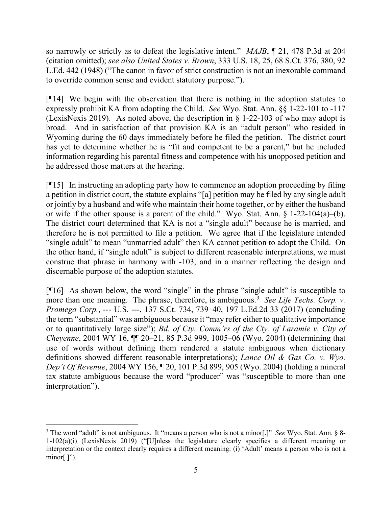so narrowly or strictly as to defeat the legislative intent." *MAJB*, ¶ 21, 478 P.3d at 204 (citation omitted); *see also United States v. Brown*, 333 U.S. 18, 25, 68 S.Ct. 376, 380, 92 L.Ed. 442 (1948) ("The canon in favor of strict construction is not an inexorable command to override common sense and evident statutory purpose.").

[¶14] We begin with the observation that there is nothing in the adoption statutes to expressly prohibit KA from adopting the Child. *See* Wyo. Stat. Ann. §§ 1-22-101 to -117 (LexisNexis 2019). As noted above, the description in § 1-22-103 of who may adopt is broad. And in satisfaction of that provision KA is an "adult person" who resided in Wyoming during the 60 days immediately before he filed the petition. The district court has yet to determine whether he is "fit and competent to be a parent," but he included information regarding his parental fitness and competence with his unopposed petition and he addressed those matters at the hearing.

[¶15] In instructing an adopting party how to commence an adoption proceeding by filing a petition in district court, the statute explains "[a] petition may be filed by any single adult or jointly by a husband and wife who maintain their home together, or by either the husband or wife if the other spouse is a parent of the child." Wyo. Stat. Ann. § 1-22-104(a)–(b). The district court determined that KA is not a "single adult" because he is married, and therefore he is not permitted to file a petition. We agree that if the legislature intended "single adult" to mean "unmarried adult" then KA cannot petition to adopt the Child. On the other hand, if "single adult" is subject to different reasonable interpretations, we must construe that phrase in harmony with -103, and in a manner reflecting the design and discernable purpose of the adoption statutes.

[ $[16]$ ] As shown below, the word "single" in the phrase "single adult" is susceptible to more than one meaning. The phrase, therefore, is ambiguous.<sup>[3](#page-5-0)</sup> See Life Techs. Corp. v. *Promega Corp.*, --- U.S. ---, 137 S.Ct. 734, 739–40, 197 L.Ed.2d 33 (2017) (concluding the term "substantial" was ambiguous because it "may refer either to qualitative importance or to quantitatively large size"); *Bd. of Cty. Comm'rs of the Cty. of Laramie v. City of Cheyenne*, 2004 WY 16, ¶¶ 20–21, 85 P.3d 999, 1005–06 (Wyo. 2004) (determining that use of words without defining them rendered a statute ambiguous when dictionary definitions showed different reasonable interpretations); *Lance Oil & Gas Co. v. Wyo. Dep't Of Revenue*, 2004 WY 156, ¶ 20, 101 P.3d 899, 905 (Wyo. 2004) (holding a mineral tax statute ambiguous because the word "producer" was "susceptible to more than one interpretation").

<span id="page-5-0"></span><sup>3</sup> The word "adult" is not ambiguous. It "means a person who is not a minor[.]" *See* Wyo. Stat. Ann. § 8- 1-102(a)(i) (LexisNexis 2019) ("[U]nless the legislature clearly specifies a different meaning or interpretation or the context clearly requires a different meaning: (i) 'Adult' means a person who is not a minor[.]").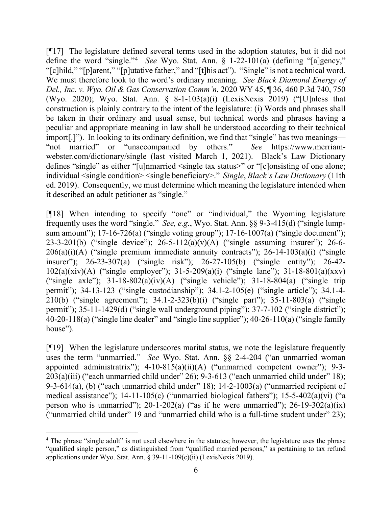[¶17] The legislature defined several terms used in the adoption statutes, but it did not define the word "single."[4](#page-6-0) *See* Wyo. Stat. Ann. § 1-22-101(a) (defining "[a]gency," "[c]hild," "[p]arent," "[p]utative father," and "[t]his act"). "Single" is not a technical word. We must therefore look to the word's ordinary meaning. *See Black Diamond Energy of Del., Inc. v. Wyo. Oil & Gas Conservation Comm'n*, 2020 WY 45, ¶ 36, 460 P.3d 740, 750 (Wyo. 2020); Wyo. Stat. Ann. § 8-1-103(a)(i) (LexisNexis 2019) ("[U]nless that construction is plainly contrary to the intent of the legislature: (i) Words and phrases shall be taken in their ordinary and usual sense, but technical words and phrases having a peculiar and appropriate meaning in law shall be understood according to their technical import[.]"). In looking to its ordinary definition, we find that "single" has two meanings— "not married" or "unaccompanied by others." *See* https://www.merriamwebster.com/dictionary/single (last visited March 1, 2021). Black's Law Dictionary defines "single" as either "[u]nmarried <single tax status>" or "[c]onsisting of one alone; individual <single condition> <single beneficiary>." *Single*, *Black's Law Dictionary* (11th ed. 2019). Consequently, we must determine which meaning the legislature intended when it described an adult petitioner as "single."

[¶18] When intending to specify "one" or "individual," the Wyoming legislature frequently uses the word "single." *See, e.g.*, Wyo. Stat. Ann. §§ 9-3-415(d) ("single lumpsum amount"); 17-16-726(a) ("single voting group"); 17-16-1007(a) ("single document"); 23-3-201(b) ("single device"); 26-5-112(a)(v)(A) ("single assuming insurer"); 26-6-  $206(a)(i)(A)$  ("single premium immediate annuity contracts"); 26-14-103 $(a)(i)$  ("single" insurer"); 26-23-307(a) ("single risk"); 26-27-105(b) ("single entity"); 26-42- 102(a)(xiv)(A) ("single employer"); 31-5-209(a)(i) ("single lane"); 31-18-801(a)(xxv) ("single axle");  $31-18-802(a)(iv)(A)$  ("single vehicle");  $31-18-804(a)$  ("single trip permit"); 34-13-123 ("single custodianship"); 34.1-2-105(e) ("single article"); 34.1-4- 210(b) ("single agreement"); 34.1-2-323(b)(i) ("single part"); 35-11-803(a) ("single permit"); 35-11-1429(d) ("single wall underground piping"); 37-7-102 ("single district"); 40-20-118(a) ("single line dealer" and "single line supplier"); 40-26-110(a) ("single family house").

[¶19] When the legislature underscores marital status, we note the legislature frequently uses the term "unmarried." *See* Wyo. Stat. Ann. §§ 2-4-204 ("an unmarried woman appointed administratrix"); 4-10-815(a)(ii)(A) ("unmarried competent owner"); 9-3-  $203(a)(iii)$  ("each unmarried child under" 26); 9-3-613 ("each unmarried child under" 18); 9-3-614(a), (b) ("each unmarried child under" 18); 14-2-1003(a) ("unmarried recipient of medical assistance"); 14-11-105(c) ("unmarried biological fathers"); 15-5-402(a)(vi) ("a person who is unmarried");  $20-1-202(a)$  ("as if he were unmarried");  $26-19-302(a)(ix)$ ("unmarried child under" 19 and "unmarried child who is a full-time student under" 23);

<span id="page-6-0"></span><sup>&</sup>lt;sup>4</sup> The phrase "single adult" is not used elsewhere in the statutes; however, the legislature uses the phrase "qualified single person," as distinguished from "qualified married persons," as pertaining to tax refund applications under Wyo. Stat. Ann. § 39-11-109(c)(ii) (LexisNexis 2019).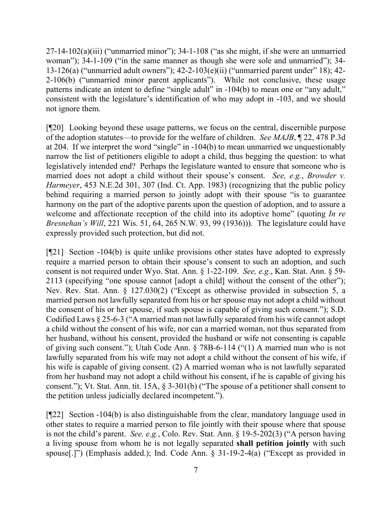$27-14-102(a)(iii)$  ("unmarried minor"); 34-1-108 ("as she might, if she were an unmarried woman"); 34-1-109 ("in the same manner as though she were sole and unmarried"); 34- 13-126(a) ("unmarried adult owners"); 42-2-103(e)(ii) ("unmarried parent under" 18); 42- 2-106(b) ("unmarried minor parent applicants"). While not conclusive, these usage patterns indicate an intent to define "single adult" in -104(b) to mean one or "any adult," consistent with the legislature's identification of who may adopt in -103, and we should not ignore them.

[¶20] Looking beyond these usage patterns, we focus on the central, discernible purpose of the adoption statutes—to provide for the welfare of children. *See MAJB*, ¶ 22, 478 P.3d at 204. If we interpret the word "single" in -104(b) to mean unmarried we unquestionably narrow the list of petitioners eligible to adopt a child, thus begging the question: to what legislatively intended end? Perhaps the legislature wanted to ensure that someone who is married does not adopt a child without their spouse's consent. *See, e.g.*, *Browder v. Harmeyer*, 453 N.E.2d 301, 307 (Ind. Ct. App. 1983) (recognizing that the public policy behind requiring a married person to jointly adopt with their spouse "is to guarantee harmony on the part of the adoptive parents upon the question of adoption, and to assure a welcome and affectionate reception of the child into its adoptive home" (quoting *In re Bresnehan's Will*, 221 Wis. 51, 64, 265 N.W. 93, 99 (1936))). The legislature could have expressly provided such protection, but did not.

[¶21] Section -104(b) is quite unlike provisions other states have adopted to expressly require a married person to obtain their spouse's consent to such an adoption, and such consent is not required under Wyo. Stat. Ann. § 1-22-109. *See, e.g.*, Kan. Stat. Ann. § 59- 2113 (specifying "one spouse cannot [adopt a child] without the consent of the other"); Nev. Rev. Stat. Ann. § 127.030(2) ("Except as otherwise provided in subsection 5, a married person not lawfully separated from his or her spouse may not adopt a child without the consent of his or her spouse, if such spouse is capable of giving such consent."); S.D. Codified Laws § 25-6-3 ("A married man not lawfully separated from his wife cannot adopt a child without the consent of his wife, nor can a married woman, not thus separated from her husband, without his consent, provided the husband or wife not consenting is capable of giving such consent."); Utah Code Ann. § 78B-6-114 ("(1) A married man who is not lawfully separated from his wife may not adopt a child without the consent of his wife, if his wife is capable of giving consent. (2) A married woman who is not lawfully separated from her husband may not adopt a child without his consent, if he is capable of giving his consent."); Vt. Stat. Ann. tit. 15A, § 3-301(b) ("The spouse of a petitioner shall consent to the petition unless judicially declared incompetent.").

[¶22] Section -104(b) is also distinguishable from the clear, mandatory language used in other states to require a married person to file jointly with their spouse where that spouse is not the child's parent. *See, e.g.*, Colo. Rev. Stat. Ann. § 19-5-202(3) ("A person having a living spouse from whom he is not legally separated **shall petition jointly** with such spouse[.]") (Emphasis added.); Ind. Code Ann. § 31-19-2-4(a) ("Except as provided in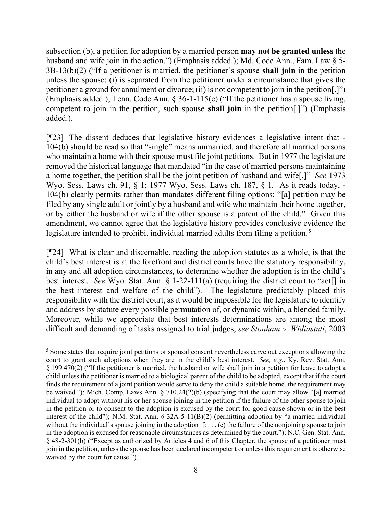subsection (b), a petition for adoption by a married person **may not be granted unless** the husband and wife join in the action.") (Emphasis added.); Md. Code Ann., Fam. Law § 5-3B-13(b)(2) ("If a petitioner is married, the petitioner's spouse **shall join** in the petition unless the spouse: (i) is separated from the petitioner under a circumstance that gives the petitioner a ground for annulment or divorce; (ii) is not competent to join in the petition[.]") (Emphasis added.); Tenn. Code Ann. § 36-1-115(c) ("If the petitioner has a spouse living, competent to join in the petition, such spouse **shall join** in the petition[.]") (Emphasis added.).

[¶23] The dissent deduces that legislative history evidences a legislative intent that - 104(b) should be read so that "single" means unmarried, and therefore all married persons who maintain a home with their spouse must file joint petitions. But in 1977 the legislature removed the historical language that mandated "in the case of married persons maintaining a home together, the petition shall be the joint petition of husband and wife[.]" *See* 1973 Wyo. Sess. Laws ch. 91, § 1; 1977 Wyo. Sess. Laws ch. 187, § 1. As it reads today, - 104(b) clearly permits rather than mandates different filing options: "[a] petition may be filed by any single adult or jointly by a husband and wife who maintain their home together, or by either the husband or wife if the other spouse is a parent of the child." Given this amendment, we cannot agree that the legislative history provides conclusive evidence the legislature intended to prohibit individual married adults from filing a petition.<sup>[5](#page-8-0)</sup>

[¶24] What is clear and discernable, reading the adoption statutes as a whole, is that the child's best interest is at the forefront and district courts have the statutory responsibility, in any and all adoption circumstances, to determine whether the adoption is in the child's best interest. *See* Wyo. Stat. Ann. § 1-22-111(a) (requiring the district court to "act[] in the best interest and welfare of the child"). The legislature predictably placed this responsibility with the district court, as it would be impossible for the legislature to identify and address by statute every possible permutation of, or dynamic within, a blended family. Moreover, while we appreciate that best interests determinations are among the most difficult and demanding of tasks assigned to trial judges, *see Stonham v. Widiastuti*, 2003

<span id="page-8-0"></span><sup>&</sup>lt;sup>5</sup> Some states that require joint petitions or spousal consent nevertheless carve out exceptions allowing the court to grant such adoptions when they are in the child's best interest. *See, e.g.*, Ky. Rev. Stat. Ann. § 199.470(2) ("If the petitioner is married, the husband or wife shall join in a petition for leave to adopt a child unless the petitioner is married to a biological parent of the child to be adopted, except that if the court finds the requirement of a joint petition would serve to deny the child a suitable home, the requirement may be waived."); Mich. Comp. Laws Ann. § 710.24(2)(b) (specifying that the court may allow "[a] married individual to adopt without his or her spouse joining in the petition if the failure of the other spouse to join in the petition or to consent to the adoption is excused by the court for good cause shown or in the best interest of the child"); N.M. Stat. Ann. § 32A-5-11(B)(2) (permitting adoption by "a married individual without the individual's spouse joining in the adoption if: . . . (c) the failure of the nonjoining spouse to join in the adoption is excused for reasonable circumstances as determined by the court."); N.C. Gen. Stat. Ann. § 48-2-301(b) ("Except as authorized by Articles 4 and 6 of this Chapter, the spouse of a petitioner must join in the petition, unless the spouse has been declared incompetent or unless this requirement is otherwise waived by the court for cause.").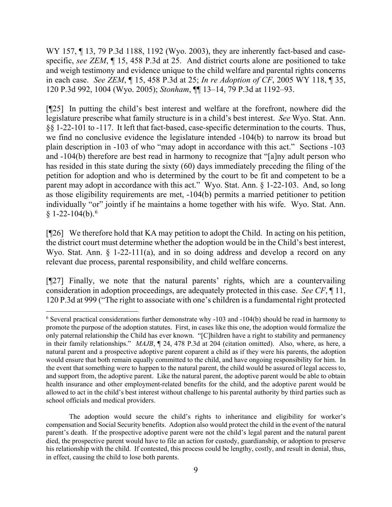WY 157, ¶ 13, 79 P.3d 1188, 1192 (Wyo. 2003), they are inherently fact-based and casespecific, *see ZEM*, ¶ 15, 458 P.3d at 25. And district courts alone are positioned to take and weigh testimony and evidence unique to the child welfare and parental rights concerns in each case. *See ZEM*, ¶ 15, 458 P.3d at 25; *In re Adoption of CF*, 2005 WY 118, ¶ 35, 120 P.3d 992, 1004 (Wyo. 2005); *Stonham*, ¶¶ 13–14, 79 P.3d at 1192–93.

[¶25] In putting the child's best interest and welfare at the forefront, nowhere did the legislature prescribe what family structure is in a child's best interest. *See* Wyo. Stat. Ann. §§ 1-22-101 to -117. It left that fact-based, case-specific determination to the courts. Thus, we find no conclusive evidence the legislature intended -104(b) to narrow its broad but plain description in -103 of who "may adopt in accordance with this act." Sections -103 and -104(b) therefore are best read in harmony to recognize that "[a]ny adult person who has resided in this state during the sixty (60) days immediately preceding the filing of the petition for adoption and who is determined by the court to be fit and competent to be a parent may adopt in accordance with this act." Wyo. Stat. Ann. § 1-22-103. And, so long as those eligibility requirements are met, -104(b) permits a married petitioner to petition individually "or" jointly if he maintains a home together with his wife. Wyo. Stat. Ann.  $§$  1-22-104(b).<sup>[6](#page-9-0)</sup>

[¶26] We therefore hold that KA may petition to adopt the Child. In acting on his petition, the district court must determine whether the adoption would be in the Child's best interest, Wyo. Stat. Ann. § 1-22-111(a), and in so doing address and develop a record on any relevant due process, parental responsibility, and child welfare concerns.

[¶27] Finally, we note that the natural parents' rights, which are a countervailing consideration in adoption proceedings, are adequately protected in this case. *See CF*, ¶ 11, 120 P.3d at 999 ("The right to associate with one's children is a fundamental right protected

<span id="page-9-0"></span><sup>6</sup> Several practical considerations further demonstrate why -103 and -104(b) should be read in harmony to promote the purpose of the adoption statutes. First, in cases like this one, the adoption would formalize the only paternal relationship the Child has ever known. "[C]hildren have a right to stability and permanency in their family relationships." *MAJB*, ¶ 24, 478 P.3d at 204 (citation omitted). Also, where, as here, a natural parent and a prospective adoptive parent coparent a child as if they were his parents, the adoption would ensure that both remain equally committed to the child, and have ongoing responsibility for him. In the event that something were to happen to the natural parent, the child would be assured of legal access to, and support from, the adoptive parent. Like the natural parent, the adoptive parent would be able to obtain health insurance and other employment-related benefits for the child, and the adoptive parent would be allowed to act in the child's best interest without challenge to his parental authority by third parties such as school officials and medical providers.

The adoption would secure the child's rights to inheritance and eligibility for worker's compensation and Social Security benefits. Adoption also would protect the child in the event of the natural parent's death. If the prospective adoptive parent were not the child's legal parent and the natural parent died, the prospective parent would have to file an action for custody, guardianship, or adoption to preserve his relationship with the child. If contested, this process could be lengthy, costly, and result in denial, thus, in effect, causing the child to lose both parents.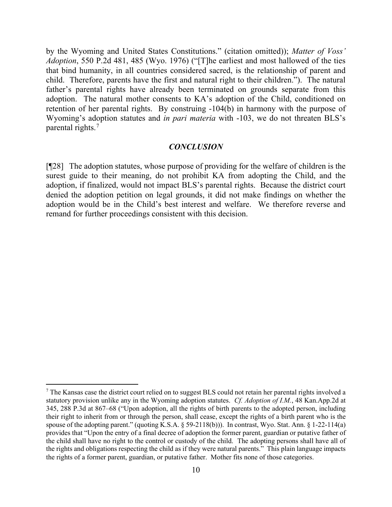by the Wyoming and United States Constitutions." (citation omitted)); *Matter of Voss' Adoption*, 550 P.2d 481, 485 (Wyo. 1976) ("[T]he earliest and most hallowed of the ties that bind humanity, in all countries considered sacred, is the relationship of parent and child. Therefore, parents have the first and natural right to their children."). The natural father's parental rights have already been terminated on grounds separate from this adoption. The natural mother consents to KA's adoption of the Child, conditioned on retention of her parental rights. By construing -104(b) in harmony with the purpose of Wyoming's adoption statutes and *in pari materia* with -103, we do not threaten BLS's parental rights.[7](#page-10-0)

#### *CONCLUSION*

[¶28] The adoption statutes, whose purpose of providing for the welfare of children is the surest guide to their meaning, do not prohibit KA from adopting the Child, and the adoption, if finalized, would not impact BLS's parental rights. Because the district court denied the adoption petition on legal grounds, it did not make findings on whether the adoption would be in the Child's best interest and welfare. We therefore reverse and remand for further proceedings consistent with this decision.

<span id="page-10-0"></span><sup>7</sup> The Kansas case the district court relied on to suggest BLS could not retain her parental rights involved a statutory provision unlike any in the Wyoming adoption statutes. *Cf. Adoption of I.M.*, 48 Kan.App.2d at 345, 288 P.3d at 867–68 ("Upon adoption, all the rights of birth parents to the adopted person, including their right to inherit from or through the person, shall cease, except the rights of a birth parent who is the spouse of the adopting parent." (quoting K.S.A. § 59-2118(b))). In contrast, Wyo. Stat. Ann. § 1-22-114(a) provides that "Upon the entry of a final decree of adoption the former parent, guardian or putative father of the child shall have no right to the control or custody of the child. The adopting persons shall have all of the rights and obligations respecting the child as if they were natural parents." This plain language impacts the rights of a former parent, guardian, or putative father. Mother fits none of those categories.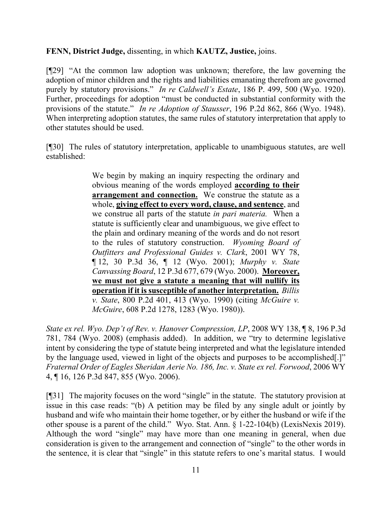# **FENN, District Judge,** dissenting, in which **KAUTZ, Justice,** joins.

[¶29] "At the common law adoption was unknown; therefore, the law governing the adoption of minor children and the rights and liabilities emanating therefrom are governed purely by statutory provisions." *In re Caldwell's Estate*, 186 P. 499, 500 (Wyo. 1920). Further, proceedings for adoption "must be conducted in substantial conformity with the provisions of the statute." *In re Adoption of Stausser*, 196 P.2d 862, 866 (Wyo. 1948). When interpreting adoption statutes, the same rules of statutory interpretation that apply to other statutes should be used.

[¶30] The rules of statutory interpretation, applicable to unambiguous statutes, are well established:

> We begin by making an inquiry respecting the ordinary and obvious meaning of the words employed **according to their arrangement and connection.** We construe the statute as a whole, **giving effect to every word, clause, and sentence**, and we construe all parts of the statute *in pari materia.* When a statute is sufficiently clear and unambiguous, we give effect to the plain and ordinary meaning of the words and do not resort to the rules of statutory construction. *Wyoming Board of Outfitters and Professional Guides v. Clark*, 2001 WY 78, ¶ 12, 30 P.3d 36, ¶ 12 (Wyo. 2001); *Murphy v. State Canvassing Board*, 12 P.3d 677, 679 (Wyo. 2000). **Moreover, we must not give a statute a meaning that will nullify its operation if it is susceptible of another interpretation.** *Billis v. State*, 800 P.2d 401, 413 (Wyo. 1990) (citing *McGuire v. McGuire*, 608 P.2d 1278, 1283 (Wyo. 1980)).

*State ex rel. Wyo. Dep't of Rev. v. Hanover Compression, LP*, 2008 WY 138, ¶ 8, 196 P.3d 781, 784 (Wyo. 2008) (emphasis added). In addition, we "try to determine legislative intent by considering the type of statute being interpreted and what the legislature intended by the language used, viewed in light of the objects and purposes to be accomplished[.]" *Fraternal Order of Eagles Sheridan Aerie No. 186, Inc. v. State ex rel. Forwood*, 2006 WY 4, ¶ 16, 126 P.3d 847, 855 (Wyo. 2006).

[¶31] The majority focuses on the word "single" in the statute. The statutory provision at issue in this case reads: "(b) A petition may be filed by any single adult or jointly by husband and wife who maintain their home together, or by either the husband or wife if the other spouse is a parent of the child." Wyo. Stat. Ann. § 1-22-104(b) (LexisNexis 2019). Although the word "single" may have more than one meaning in general, when due consideration is given to the arrangement and connection of "single" to the other words in the sentence, it is clear that "single" in this statute refers to one's marital status. I would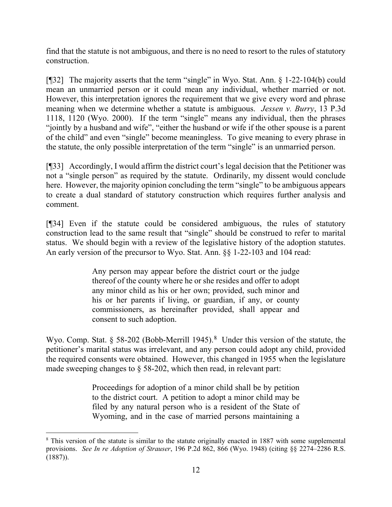find that the statute is not ambiguous, and there is no need to resort to the rules of statutory construction.

[¶32] The majority asserts that the term "single" in Wyo. Stat. Ann. § 1-22-104(b) could mean an unmarried person or it could mean any individual, whether married or not. However, this interpretation ignores the requirement that we give every word and phrase meaning when we determine whether a statute is ambiguous. *Jessen v. Burry*, 13 P.3d 1118, 1120 (Wyo. 2000). If the term "single" means any individual, then the phrases "jointly by a husband and wife", "either the husband or wife if the other spouse is a parent of the child" and even "single" become meaningless. To give meaning to every phrase in the statute, the only possible interpretation of the term "single" is an unmarried person.

[¶33] Accordingly, I would affirm the district court's legal decision that the Petitioner was not a "single person" as required by the statute. Ordinarily, my dissent would conclude here. However, the majority opinion concluding the term "single" to be ambiguous appears to create a dual standard of statutory construction which requires further analysis and comment.

[¶34] Even if the statute could be considered ambiguous, the rules of statutory construction lead to the same result that "single" should be construed to refer to marital status. We should begin with a review of the legislative history of the adoption statutes. An early version of the precursor to Wyo. Stat. Ann. §§ 1-22-103 and 104 read:

> Any person may appear before the district court or the judge thereof of the county where he or she resides and offer to adopt any minor child as his or her own; provided, such minor and his or her parents if living, or guardian, if any, or county commissioners, as hereinafter provided, shall appear and consent to such adoption.

Wyo. Comp. Stat. § 5[8](#page-12-0)-202 (Bobb-Merrill 1945).<sup>8</sup> Under this version of the statute, the petitioner's marital status was irrelevant, and any person could adopt any child, provided the required consents were obtained. However, this changed in 1955 when the legislature made sweeping changes to  $\S$  58-202, which then read, in relevant part:

> Proceedings for adoption of a minor child shall be by petition to the district court. A petition to adopt a minor child may be filed by any natural person who is a resident of the State of Wyoming, and in the case of married persons maintaining a

<span id="page-12-0"></span><sup>&</sup>lt;sup>8</sup> This version of the statute is similar to the statute originally enacted in 1887 with some supplemental provisions. *See In re Adoption of Strauser*, 196 P.2d 862, 866 (Wyo. 1948) (citing §§ 2274–2286 R.S. (1887)).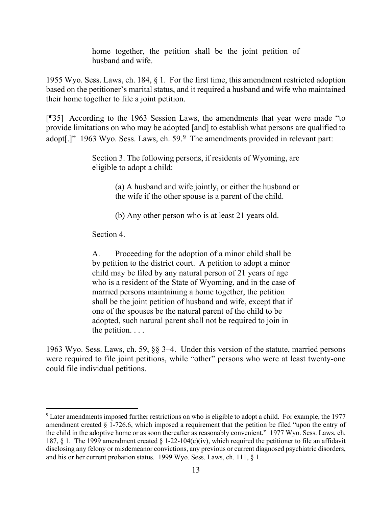home together, the petition shall be the joint petition of husband and wife.

1955 Wyo. Sess. Laws, ch. 184, § 1. For the first time, this amendment restricted adoption based on the petitioner's marital status, and it required a husband and wife who maintained their home together to file a joint petition.

[¶35] According to the 1963 Session Laws, the amendments that year were made "to provide limitations on who may be adopted [and] to establish what persons are qualified to adopt[.]" 1[9](#page-13-0)63 Wyo. Sess. Laws, ch. 59.<sup>9</sup> The amendments provided in relevant part:

> Section 3. The following persons, if residents of Wyoming, are eligible to adopt a child:

> > (a) A husband and wife jointly, or either the husband or the wife if the other spouse is a parent of the child.

(b) Any other person who is at least 21 years old.

Section 4.

A. Proceeding for the adoption of a minor child shall be by petition to the district court. A petition to adopt a minor child may be filed by any natural person of 21 years of age who is a resident of the State of Wyoming, and in the case of married persons maintaining a home together, the petition shall be the joint petition of husband and wife, except that if one of the spouses be the natural parent of the child to be adopted, such natural parent shall not be required to join in the petition. . . .

1963 Wyo. Sess. Laws, ch. 59, §§ 3–4. Under this version of the statute, married persons were required to file joint petitions, while "other" persons who were at least twenty-one could file individual petitions.

<span id="page-13-0"></span><sup>9</sup> Later amendments imposed further restrictions on who is eligible to adopt a child. For example, the 1977 amendment created § 1-726.6, which imposed a requirement that the petition be filed "upon the entry of the child in the adoptive home or as soon thereafter as reasonably convenient." 1977 Wyo. Sess. Laws, ch. 187, § 1. The 1999 amendment created § 1-22-104(c)(iv), which required the petitioner to file an affidavit disclosing any felony or misdemeanor convictions, any previous or current diagnosed psychiatric disorders, and his or her current probation status. 1999 Wyo. Sess. Laws, ch. 111, § 1.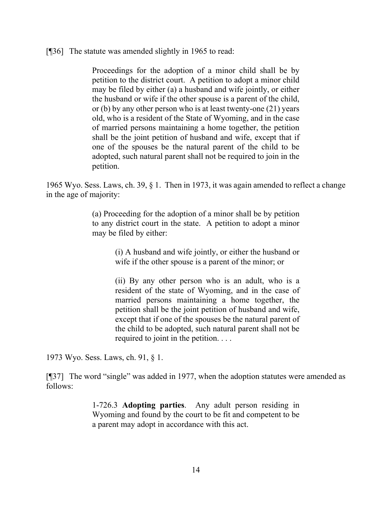[¶36] The statute was amended slightly in 1965 to read:

Proceedings for the adoption of a minor child shall be by petition to the district court. A petition to adopt a minor child may be filed by either (a) a husband and wife jointly, or either the husband or wife if the other spouse is a parent of the child, or (b) by any other person who is at least twenty-one (21) years old, who is a resident of the State of Wyoming, and in the case of married persons maintaining a home together, the petition shall be the joint petition of husband and wife, except that if one of the spouses be the natural parent of the child to be adopted, such natural parent shall not be required to join in the petition.

1965 Wyo. Sess. Laws, ch. 39, § 1. Then in 1973, it was again amended to reflect a change in the age of majority:

> (a) Proceeding for the adoption of a minor shall be by petition to any district court in the state. A petition to adopt a minor may be filed by either:

> > (i) A husband and wife jointly, or either the husband or wife if the other spouse is a parent of the minor; or

> > (ii) By any other person who is an adult, who is a resident of the state of Wyoming, and in the case of married persons maintaining a home together, the petition shall be the joint petition of husband and wife, except that if one of the spouses be the natural parent of the child to be adopted, such natural parent shall not be required to joint in the petition. . . .

1973 Wyo. Sess. Laws, ch. 91, § 1.

[¶37] The word "single" was added in 1977, when the adoption statutes were amended as follows:

> 1-726.3 **Adopting parties**. Any adult person residing in Wyoming and found by the court to be fit and competent to be a parent may adopt in accordance with this act.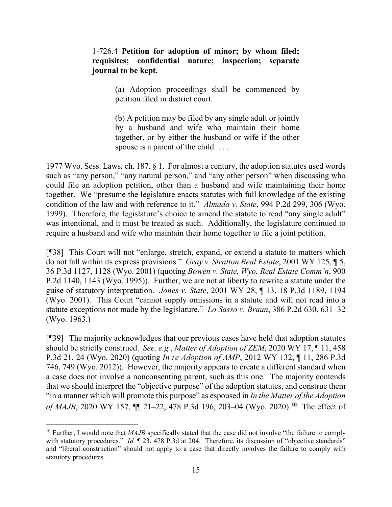# 1-726.4 **Petition for adoption of minor; by whom filed; requisites; confidential nature; inspection; separate journal to be kept.**

(a) Adoption proceedings shall be commenced by petition filed in district court.

(b) A petition may be filed by any single adult or jointly by a husband and wife who maintain their home together, or by either the husband or wife if the other spouse is a parent of the child. . . .

1977 Wyo. Sess. Laws, ch. 187, § 1. For almost a century, the adoption statutes used words such as "any person," "any natural person," and "any other person" when discussing who could file an adoption petition, other than a husband and wife maintaining their home together. We "presume the legislature enacts statutes with full knowledge of the existing condition of the law and with reference to it." *Almada v. State*, 994 P.2d 299, 306 (Wyo. 1999). Therefore, the legislature's choice to amend the statute to read "any single adult" was intentional, and it must be treated as such. Additionally, the legislature continued to require a husband and wife who maintain their home together to file a joint petition.

[¶38] This Court will not "enlarge, stretch, expand, or extend a statute to matters which do not fall within its express provisions." *Gray v. Stratton Real Estate*, 2001 WY 125, ¶ 5, 36 P.3d 1127, 1128 (Wyo. 2001) (quoting *Bowen v. State, Wyo. Real Estate Comm'n*, 900 P.2d 1140, 1143 (Wyo. 1995)). Further, we are not at liberty to rewrite a statute under the guise of statutory interpretation. *Jones v. State*, 2001 WY 28, ¶ 13, 18 P.3d 1189, 1194 (Wyo. 2001). This Court "cannot supply omissions in a statute and will not read into a statute exceptions not made by the legislature." *Lo Sasso v. Braun*, 386 P.2d 630, 631–32 (Wyo. 1963.)

[¶39] The majority acknowledges that our previous cases have held that adoption statutes should be strictly construed. *See, e.g.*, *Matter of Adoption of ZEM*, 2020 WY 17, ¶ 11, 458 P.3d 21, 24 (Wyo. 2020) (quoting *In re Adoption of AMP*, 2012 WY 132, ¶ 11, 286 P.3d 746, 749 (Wyo. 2012)). However, the majority appears to create a different standard when a case does not involve a nonconsenting parent, such as this one. The majority contends that we should interpret the "objective purpose" of the adoption statutes, and construe them "in a manner which will promote this purpose" as espoused in *In the Matter of the Adoption of MAJB*, 2020 WY 157,  $\P$  21–22, 478 P.3d 196, 203–04 (Wyo. 2020).<sup>[10](#page-15-0)</sup> The effect of

<span id="page-15-0"></span><sup>&</sup>lt;sup>10</sup> Further, I would note that *MAJB* specifically stated that the case did not involve "the failure to comply with statutory procedures." *Id.*  $\P$  23, 478 P.3d at 204. Therefore, its discussion of "objective standards" and "liberal construction" should not apply to a case that directly involves the failure to comply with statutory procedures.